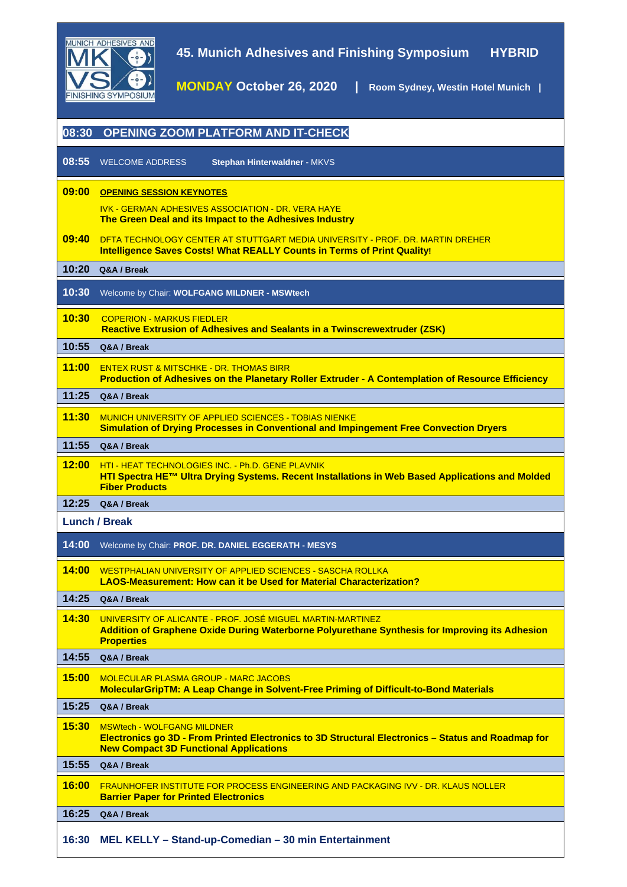

**MONDAY October 26, 2020 | Room Sydney, Westin Hotel Munich |**

| 08:30                | <b>OPENING ZOOM PLATFORM AND IT-CHECK</b>                                                                                                                                                |  |
|----------------------|------------------------------------------------------------------------------------------------------------------------------------------------------------------------------------------|--|
|                      | <b>08:55</b> WELCOME ADDRESS<br>Stephan Hinterwaldner - MKVS                                                                                                                             |  |
| 09:00                | <b>OPENING SESSION KEYNOTES</b><br><b>IVK - GERMAN ADHESIVES ASSOCIATION - DR. VERA HAYE</b><br>The Green Deal and its Impact to the Adhesives Industry                                  |  |
| 09:40                | DETA TECHNOLOGY CENTER AT STUTTGART MEDIA UNIVERSITY - PROF. DR. MARTIN DREHER<br><b>Intelligence Saves Costs! What REALLY Counts in Terms of Print Quality!</b>                         |  |
| 10:20                | Q&A / Break                                                                                                                                                                              |  |
| 10:30                | Welcome by Chair: WOLFGANG MILDNER - MSWtech                                                                                                                                             |  |
| 10:30                | <b>COPERION - MARKUS FIEDLER</b><br><b>Reactive Extrusion of Adhesives and Sealants in a Twinscrewextruder (ZSK)</b>                                                                     |  |
| 10:55                | Q&A / Break                                                                                                                                                                              |  |
| 11:00                | <b>ENTEX RUST &amp; MITSCHKE - DR. THOMAS BIRR</b><br>Production of Adhesives on the Planetary Roller Extruder - A Contemplation of Resource Efficiency                                  |  |
| 11:25                | Q&A / Break                                                                                                                                                                              |  |
| 11:30                | <b>MUNICH UNIVERSITY OF APPLIED SCIENCES - TOBIAS NIENKE</b><br>Simulation of Drying Processes in Conventional and Impingement Free Convection Dryers                                    |  |
| 11:55                | Q&A / Break                                                                                                                                                                              |  |
| 12:00                | <b>HTI - HEAT TECHNOLOGIES INC. - Ph.D. GENE PLAVNIK</b><br>HTI Spectra HE™ Ultra Drying Systems. Recent Installations in Web Based Applications and Molded<br><b>Fiber Products</b>     |  |
| 12:25                | Q&A / Break                                                                                                                                                                              |  |
| <b>Lunch / Break</b> |                                                                                                                                                                                          |  |
| 14:00                | Welcome by Chair: PROF. DR. DANIEL EGGERATH - MESYS                                                                                                                                      |  |
| 14:00                | <b>WESTPHALIAN UNIVERSITY OF APPLIED SCIENCES - SASCHA ROLLKA</b><br>LAOS-Measurement: How can it be Used for Material Characterization?                                                 |  |
| 14:25                | Q&A / Break                                                                                                                                                                              |  |
| 14:30                | UNIVERSITY OF ALICANTE - PROF. JOSÉ MIGUEL MARTIN-MARTINEZ<br>Addition of Graphene Oxide During Waterborne Polyurethane Synthesis for Improving its Adhesion<br><b>Properties</b>        |  |
| 14:55                | Q&A / Break                                                                                                                                                                              |  |
| 15:00                | <b>MOLECULAR PLASMA GROUP - MARC JACOBS</b><br><b>MolecularGripTM: A Leap Change in Solvent-Free Priming of Difficult-to-Bond Materials</b>                                              |  |
| 15:25                | Q&A / Break                                                                                                                                                                              |  |
| 15:30                | <b>MSWtech - WOLFGANG MILDNER</b><br>Electronics go 3D - From Printed Electronics to 3D Structural Electronics - Status and Roadmap for<br><b>New Compact 3D Functional Applications</b> |  |
| 15:55                | Q&A / Break                                                                                                                                                                              |  |
| 16:00                | FRAUNHOFER INSTITUTE FOR PROCESS ENGINEERING AND PACKAGING IVV - DR. KLAUS NOLLER<br><b>Barrier Paper for Printed Electronics</b>                                                        |  |
| 16:25                | Q&A / Break                                                                                                                                                                              |  |
| 16:30                | MEL KELLY - Stand-up-Comedian - 30 min Entertainment                                                                                                                                     |  |